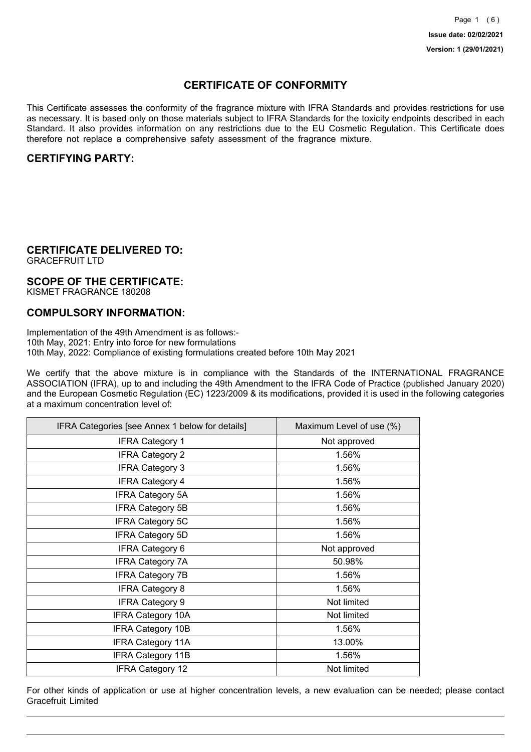## **CERTIFICATE OF CONFORMITY**

This Certificate assesses the conformity of the fragrance mixture with IFRA Standards and provides restrictions for use as necessary. It is based only on those materials subject to IFRA Standards for the toxicity endpoints described in each Standard. It also provides information on any restrictions due to the EU Cosmetic Regulation. This Certificate does therefore not replace a comprehensive safety assessment of the fragrance mixture.

## **CERTIFYING PARTY:**

## **CERTIFICATE DELIVERED TO:**

GRACEFRUIT LTD

### **SCOPE OF THE CERTIFICATE:**

KISMET FRAGRANCE 180208

### **COMPULSORY INFORMATION:**

Implementation of the 49th Amendment is as follows:- 10th May, 2021: Entry into force for new formulations 10th May, 2022: Compliance of existing formulations created before 10th May 2021

We certify that the above mixture is in compliance with the Standards of the INTERNATIONAL FRAGRANCE ASSOCIATION (IFRA), up to and including the 49th Amendment to the IFRA Code of Practice (published January 2020) and the European Cosmetic Regulation (EC) 1223/2009 & its modifications, provided it is used in the following categories at a maximum concentration level of:

| IFRA Categories [see Annex 1 below for details] | Maximum Level of use (%) |
|-------------------------------------------------|--------------------------|
| <b>IFRA Category 1</b>                          | Not approved             |
| <b>IFRA Category 2</b>                          | 1.56%                    |
| <b>IFRA Category 3</b>                          | 1.56%                    |
| <b>IFRA Category 4</b>                          | 1.56%                    |
| <b>IFRA Category 5A</b>                         | 1.56%                    |
| <b>IFRA Category 5B</b>                         | 1.56%                    |
| <b>IFRA Category 5C</b>                         | 1.56%                    |
| <b>IFRA Category 5D</b>                         | 1.56%                    |
| <b>IFRA Category 6</b>                          | Not approved             |
| <b>IFRA Category 7A</b>                         | 50.98%                   |
| <b>IFRA Category 7B</b>                         | 1.56%                    |
| <b>IFRA Category 8</b>                          | 1.56%                    |
| <b>IFRA Category 9</b>                          | Not limited              |
| <b>IFRA Category 10A</b>                        | Not limited              |
| <b>IFRA Category 10B</b>                        | 1.56%                    |
| <b>IFRA Category 11A</b>                        | 13.00%                   |
| <b>IFRA Category 11B</b>                        | 1.56%                    |
| <b>IFRA Category 12</b>                         | Not limited              |

For other kinds of application or use at higher concentration levels, a new evaluation can be needed; please contact Gracefruit Limited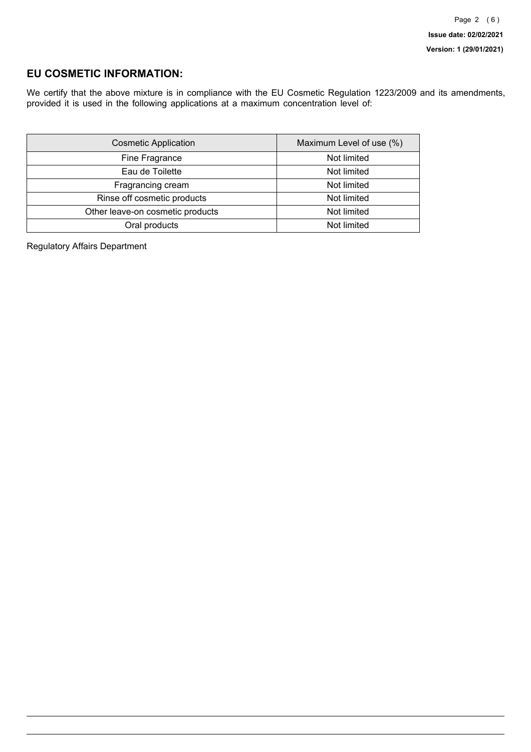## **EU COSMETIC INFORMATION:**

We certify that the above mixture is in compliance with the EU Cosmetic Regulation 1223/2009 and its amendments, provided it is used in the following applications at a maximum concentration level of:

| <b>Cosmetic Application</b>      | Maximum Level of use (%) |
|----------------------------------|--------------------------|
| Fine Fragrance                   | Not limited              |
| Eau de Toilette                  | Not limited              |
| Fragrancing cream                | Not limited              |
| Rinse off cosmetic products      | Not limited              |
| Other leave-on cosmetic products | Not limited              |
| Oral products                    | Not limited              |

Regulatory Affairs Department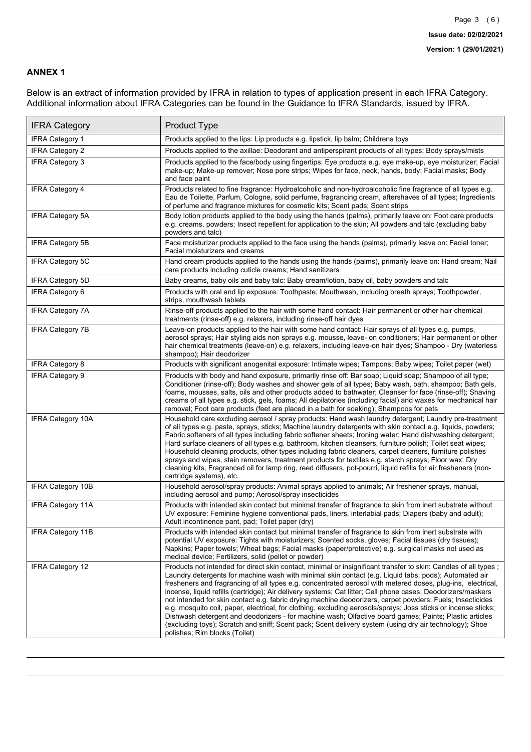### **ANNEX 1**

Below is an extract of information provided by IFRA in relation to types of application present in each IFRA Category. Additional information about IFRA Categories can be found in the Guidance to IFRA Standards, issued by IFRA.

| <b>IFRA Category</b>     | Product Type                                                                                                                                                                                                                                                                                                                                                                                                                                                                                                                                                                                                                                                                                                                                                                                                                                                                                                                                 |
|--------------------------|----------------------------------------------------------------------------------------------------------------------------------------------------------------------------------------------------------------------------------------------------------------------------------------------------------------------------------------------------------------------------------------------------------------------------------------------------------------------------------------------------------------------------------------------------------------------------------------------------------------------------------------------------------------------------------------------------------------------------------------------------------------------------------------------------------------------------------------------------------------------------------------------------------------------------------------------|
| <b>IFRA Category 1</b>   | Products applied to the lips: Lip products e.g. lipstick, lip balm; Childrens toys                                                                                                                                                                                                                                                                                                                                                                                                                                                                                                                                                                                                                                                                                                                                                                                                                                                           |
| <b>IFRA Category 2</b>   | Products applied to the axillae: Deodorant and antiperspirant products of all types; Body sprays/mists                                                                                                                                                                                                                                                                                                                                                                                                                                                                                                                                                                                                                                                                                                                                                                                                                                       |
| <b>IFRA Category 3</b>   | Products applied to the face/body using fingertips: Eye products e.g. eye make-up, eye moisturizer; Facial<br>make-up; Make-up remover; Nose pore strips; Wipes for face, neck, hands, body; Facial masks; Body<br>and face paint                                                                                                                                                                                                                                                                                                                                                                                                                                                                                                                                                                                                                                                                                                            |
| <b>IFRA Category 4</b>   | Products related to fine fragrance: Hydroalcoholic and non-hydroalcoholic fine fragrance of all types e.g.<br>Eau de Toilette, Parfum, Cologne, solid perfume, fragrancing cream, aftershaves of all types; Ingredients<br>of perfume and fragrance mixtures for cosmetic kits; Scent pads; Scent strips                                                                                                                                                                                                                                                                                                                                                                                                                                                                                                                                                                                                                                     |
| <b>IFRA Category 5A</b>  | Body lotion products applied to the body using the hands (palms), primarily leave on: Foot care products<br>e.g. creams, powders; Insect repellent for application to the skin; All powders and talc (excluding baby<br>powders and talc)                                                                                                                                                                                                                                                                                                                                                                                                                                                                                                                                                                                                                                                                                                    |
| IFRA Category 5B         | Face moisturizer products applied to the face using the hands (palms), primarily leave on: Facial toner;<br>Facial moisturizers and creams                                                                                                                                                                                                                                                                                                                                                                                                                                                                                                                                                                                                                                                                                                                                                                                                   |
| <b>IFRA Category 5C</b>  | Hand cream products applied to the hands using the hands (palms), primarily leave on: Hand cream; Nail<br>care products including cuticle creams; Hand sanitizers                                                                                                                                                                                                                                                                                                                                                                                                                                                                                                                                                                                                                                                                                                                                                                            |
| <b>IFRA Category 5D</b>  | Baby creams, baby oils and baby talc: Baby cream/lotion, baby oil, baby powders and talc                                                                                                                                                                                                                                                                                                                                                                                                                                                                                                                                                                                                                                                                                                                                                                                                                                                     |
| IFRA Category 6          | Products with oral and lip exposure: Toothpaste; Mouthwash, including breath sprays; Toothpowder,<br>strips, mouthwash tablets                                                                                                                                                                                                                                                                                                                                                                                                                                                                                                                                                                                                                                                                                                                                                                                                               |
| <b>IFRA Category 7A</b>  | Rinse-off products applied to the hair with some hand contact: Hair permanent or other hair chemical<br>treatments (rinse-off) e.g. relaxers, including rinse-off hair dyes                                                                                                                                                                                                                                                                                                                                                                                                                                                                                                                                                                                                                                                                                                                                                                  |
| <b>IFRA Category 7B</b>  | Leave-on products applied to the hair with some hand contact: Hair sprays of all types e.g. pumps,<br>aerosol sprays; Hair styling aids non sprays e.g. mousse, leave- on conditioners; Hair permanent or other<br>hair chemical treatments (leave-on) e.g. relaxers, including leave-on hair dyes; Shampoo - Dry (waterless<br>shampoo); Hair deodorizer                                                                                                                                                                                                                                                                                                                                                                                                                                                                                                                                                                                    |
| <b>IFRA Category 8</b>   | Products with significant anogenital exposure: Intimate wipes; Tampons; Baby wipes; Toilet paper (wet)                                                                                                                                                                                                                                                                                                                                                                                                                                                                                                                                                                                                                                                                                                                                                                                                                                       |
| IFRA Category 9          | Products with body and hand exposure, primarily rinse off: Bar soap; Liquid soap; Shampoo of all type;<br>Conditioner (rinse-off); Body washes and shower gels of all types; Baby wash, bath, shampoo; Bath gels,<br>foams, mousses, salts, oils and other products added to bathwater; Cleanser for face (rinse-off); Shaving<br>creams of all types e.g. stick, gels, foams; All depilatories (including facial) and waxes for mechanical hair<br>removal; Foot care products (feet are placed in a bath for soaking); Shampoos for pets                                                                                                                                                                                                                                                                                                                                                                                                   |
| <b>IFRA Category 10A</b> | Household care excluding aerosol / spray products: Hand wash laundry detergent; Laundry pre-treatment<br>of all types e.g. paste, sprays, sticks; Machine laundry detergents with skin contact e.g. liquids, powders;<br>Fabric softeners of all types including fabric softener sheets; Ironing water; Hand dishwashing detergent;<br>Hard surface cleaners of all types e.g. bathroom, kitchen cleansers, furniture polish; Toilet seat wipes;<br>Household cleaning products, other types including fabric cleaners, carpet cleaners, furniture polishes<br>sprays and wipes, stain removers, treatment products for textiles e.g. starch sprays; Floor wax; Dry<br>cleaning kits; Fragranced oil for lamp ring, reed diffusers, pot-pourri, liquid refills for air fresheners (non-<br>cartridge systems), etc.                                                                                                                          |
| <b>IFRA Category 10B</b> | Household aerosol/spray products: Animal sprays applied to animals; Air freshener sprays, manual,<br>including aerosol and pump; Aerosol/spray insecticides                                                                                                                                                                                                                                                                                                                                                                                                                                                                                                                                                                                                                                                                                                                                                                                  |
| <b>IFRA Category 11A</b> | Products with intended skin contact but minimal transfer of fragrance to skin from inert substrate without<br>UV exposure: Feminine hygiene conventional pads, liners, interlabial pads; Diapers (baby and adult);<br>Adult incontinence pant, pad; Toilet paper (dry)                                                                                                                                                                                                                                                                                                                                                                                                                                                                                                                                                                                                                                                                       |
| <b>IFRA Category 11B</b> | Products with intended skin contact but minimal transfer of fragrance to skin from inert substrate with<br>potential UV exposure: Tights with moisturizers; Scented socks, gloves; Facial tissues (dry tissues);<br>Napkins; Paper towels; Wheat bags; Facial masks (paper/protective) e.g. surgical masks not used as<br>medical device; Fertilizers, solid (pellet or powder)                                                                                                                                                                                                                                                                                                                                                                                                                                                                                                                                                              |
| <b>IFRA Category 12</b>  | Products not intended for direct skin contact, minimal or insignificant transfer to skin: Candles of all types;<br>Laundry detergents for machine wash with minimal skin contact (e.g. Liquid tabs, pods); Automated air<br>fresheners and fragrancing of all types e.g. concentrated aerosol with metered doses, plug-ins, electrical,<br>incense, liquid refills (cartridge); Air delivery systems; Cat litter; Cell phone cases; Deodorizers/maskers<br>not intended for skin contact e.g. fabric drying machine deodorizers, carpet powders; Fuels; Insecticides<br>e.g. mosquito coil, paper, electrical, for clothing, excluding aerosols/sprays; Joss sticks or incense sticks;<br>Dishwash detergent and deodorizers - for machine wash; Olfactive board games; Paints; Plastic articles<br>(excluding toys); Scratch and sniff; Scent pack; Scent delivery system (using dry air technology); Shoe<br>polishes; Rim blocks (Toilet) |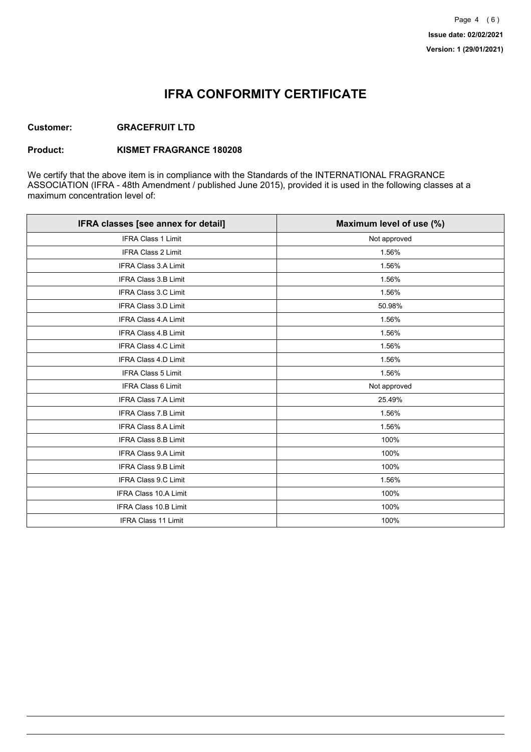## **IFRA CONFORMITY CERTIFICATE**

### **Customer: GRACEFRUIT LTD**

### **Product: KISMET FRAGRANCE 180208**

We certify that the above item is in compliance with the Standards of the INTERNATIONAL FRAGRANCE ASSOCIATION (IFRA - 48th Amendment / published June 2015), provided it is used in the following classes at a maximum concentration level of:

| IFRA classes [see annex for detail] | Maximum level of use (%) |
|-------------------------------------|--------------------------|
| <b>IFRA Class 1 Limit</b>           | Not approved             |
| <b>IFRA Class 2 Limit</b>           | 1.56%                    |
| <b>IFRA Class 3.A Limit</b>         | 1.56%                    |
| <b>IFRA Class 3.B Limit</b>         | 1.56%                    |
| <b>IFRA Class 3.C Limit</b>         | 1.56%                    |
| <b>IFRA Class 3.D Limit</b>         | 50.98%                   |
| <b>IFRA Class 4.A Limit</b>         | 1.56%                    |
| <b>IFRA Class 4.B Limit</b>         | 1.56%                    |
| <b>IFRA Class 4.C Limit</b>         | 1.56%                    |
| <b>IFRA Class 4.D Limit</b>         | 1.56%                    |
| <b>IFRA Class 5 Limit</b>           | 1.56%                    |
| <b>IFRA Class 6 Limit</b>           | Not approved             |
| <b>IFRA Class 7.A Limit</b>         | 25.49%                   |
| <b>IFRA Class 7.B Limit</b>         | 1.56%                    |
| <b>IFRA Class 8.A Limit</b>         | 1.56%                    |
| IFRA Class 8.B Limit                | 100%                     |
| <b>IFRA Class 9.A Limit</b>         | 100%                     |
| <b>IFRA Class 9.B Limit</b>         | 100%                     |
| <b>IFRA Class 9.C Limit</b>         | 1.56%                    |
| IFRA Class 10.A Limit               | 100%                     |
| IFRA Class 10.B Limit               | 100%                     |
| <b>IFRA Class 11 Limit</b>          | 100%                     |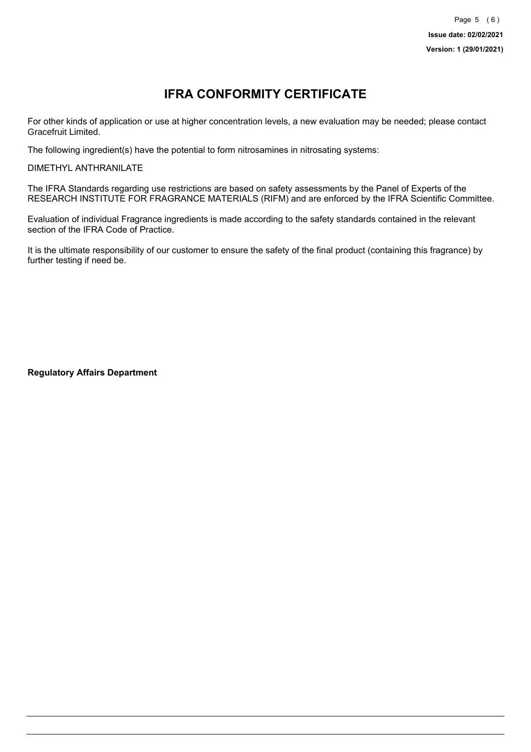# **IFRA CONFORMITY CERTIFICATE**

For other kinds of application or use at higher concentration levels, a new evaluation may be needed; please contact Gracefruit Limited.

The following ingredient(s) have the potential to form nitrosamines in nitrosating systems:

DIMETHYL ANTHRANILATE

The IFRA Standards regarding use restrictions are based on safety assessments by the Panel of Experts of the RESEARCH INSTITUTE FOR FRAGRANCE MATERIALS (RIFM) and are enforced by the IFRA Scientific Committee.

Evaluation of individual Fragrance ingredients is made according to the safety standards contained in the relevant section of the IFRA Code of Practice.

It is the ultimate responsibility of our customer to ensure the safety of the final product (containing this fragrance) by further testing if need be.

**Regulatory Affairs Department**